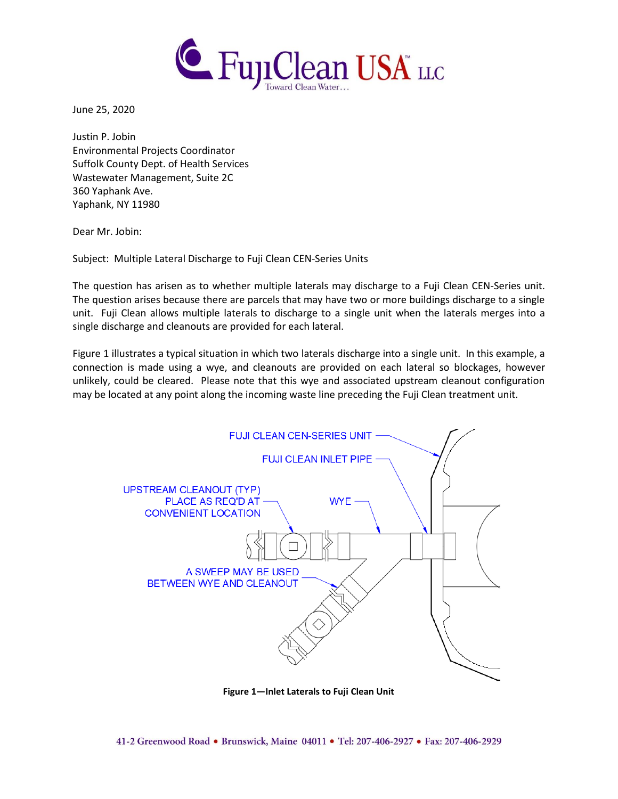

June 25, 2020

Justin P. Jobin Environmental Projects Coordinator Suffolk County Dept. of Health Services Wastewater Management, Suite 2C 360 Yaphank Ave. Yaphank, NY 11980

Dear Mr. Jobin:

Subject: Multiple Lateral Discharge to Fuji Clean CEN-Series Units

The question has arisen as to whether multiple laterals may discharge to a Fuji Clean CEN-Series unit. The question arises because there are parcels that may have two or more buildings discharge to a single unit. Fuji Clean allows multiple laterals to discharge to a single unit when the laterals merges into a single discharge and cleanouts are provided for each lateral.

Figure 1 illustrates a typical situation in which two laterals discharge into a single unit. In this example, a connection is made using a wye, and cleanouts are provided on each lateral so blockages, however unlikely, could be cleared. Please note that this wye and associated upstream cleanout configuration may be located at any point along the incoming waste line preceding the Fuji Clean treatment unit.



**Figure 1—Inlet Laterals to Fuji Clean Unit**